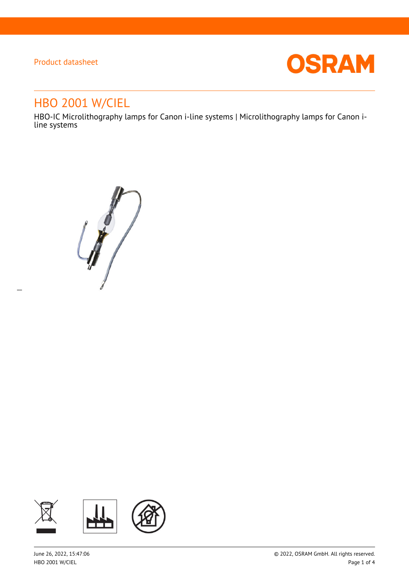$\overline{a}$ 



# HBO 2001 W/CIEL

HBO-IC Microlithography lamps for Canon i-line systems | Microlithography lamps for Canon iline systems

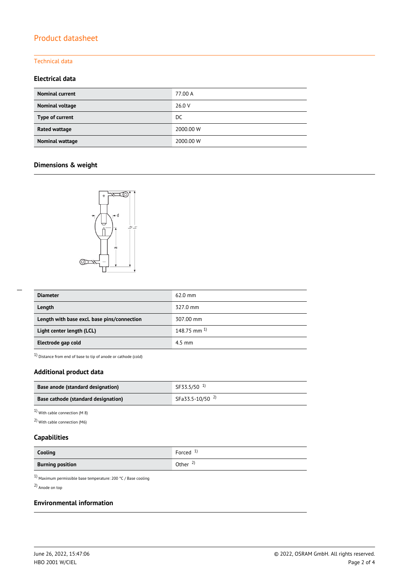### Technical data

### **Electrical data**

| <b>Nominal current</b> | 77.00 A   |
|------------------------|-----------|
| Nominal voltage        | 26.0 V    |
| Type of current        | DC.       |
| <b>Rated wattage</b>   | 2000.00 W |
| Nominal wattage        | 2000.00 W |

### **Dimensions & weight**



| <b>Diameter</b>                             | $62.0$ mm          |
|---------------------------------------------|--------------------|
| Length                                      | 327.0 mm           |
| Length with base excl. base pins/connection | 307.00 mm          |
| Light center length (LCL)                   | $148.75$ mm $^{1}$ |
| Electrode gap cold                          | $4.5$ mm           |

1) Distance from end of base to tip of anode or cathode (cold)

### **Additional product data**

| Base anode (standard designation)   | SF33.5/50 <sup>1)</sup>    |
|-------------------------------------|----------------------------|
| Base cathode (standard designation) | SFa33.5-10/50 <sup>2</sup> |

1) With cable connection (M 8)

2) With cable connection (M6)

#### **Capabilities**

| Cooling                 | - 1)<br>Forced      |
|-------------------------|---------------------|
| <b>Burning position</b> | Other $\frac{2}{3}$ |

 $^{1)}$  Maximum permissible base temperature: 200 °C / Base cooling

2) Anode on top

#### **Environmental information**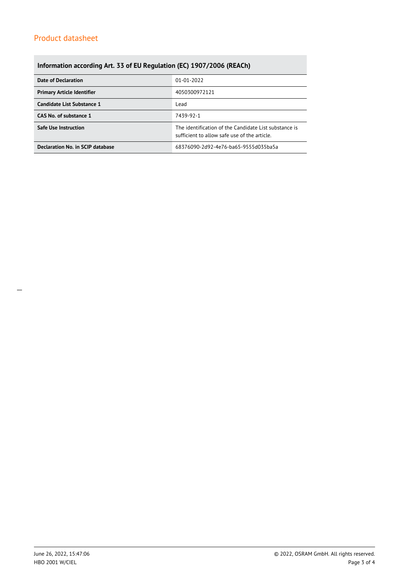## **Information according Art. 33 of EU Regulation (EC) 1907/2006 (REACh)**

| Date of Declaration               | 01-01-2022                                                                                            |  |  |
|-----------------------------------|-------------------------------------------------------------------------------------------------------|--|--|
| <b>Primary Article Identifier</b> | 4050300972121                                                                                         |  |  |
| Candidate List Substance 1        | Lead                                                                                                  |  |  |
| CAS No. of substance 1            | 7439-92-1                                                                                             |  |  |
| Safe Use Instruction              | The identification of the Candidate List substance is<br>sufficient to allow safe use of the article. |  |  |
| Declaration No. in SCIP database  | 68376090-2d92-4e76-ba65-9555d035ba5a                                                                  |  |  |